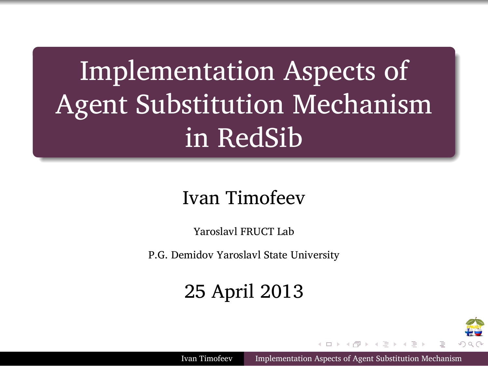Implementation Aspects of Agent Substitution Mechanism in RedSib

.

.

#### Ivan Timofeev

Yaroslavl FRUCT Lab P.G. Demidov Yaroslavl State University

#### 25 April 2013

Ivan Timofeev Implementation Aspects of Agent Substitution Mechan

. . . . . .

₩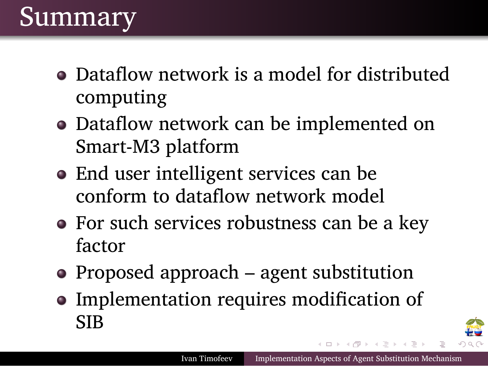#### Summary

.

- Dataflow network is a model for distributed computing
- Dataflow network can be implemented on Smart-M3 platform
- End user intelligent services can be conform to dataflow network model
- For such services robustness can be a key factor
- Proposed approach agent substitution
- Implementation requires modification of SIB

Ivan Timofeev Implementation Aspects of Agent Substitution Mechanism

. . . . . .

ŦU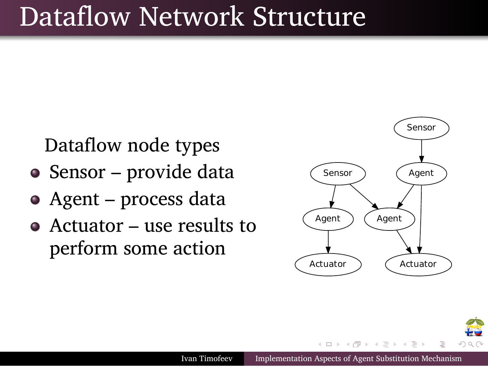### Dataflow Network Structure

Dataflow node types

.

- Sensor provide data
- Agent process data
- Actuator use results to perform some action



. . . . . .

٥

Ivan Timofeev Implementation Aspects of Agent Substitution Mechanism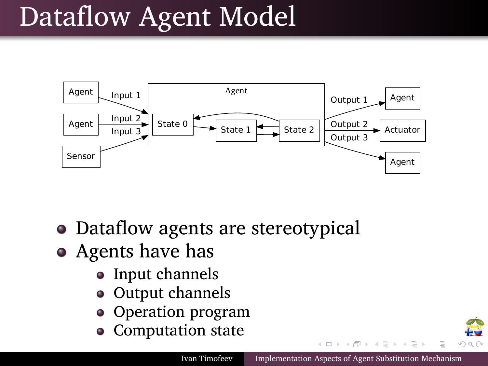## Dataflow Agent Model



- Dataflow agents are stereotypical
- Agents have has
	- Input channels
	- $\bullet~$  Output channels
	- Operation program
	- Computation state

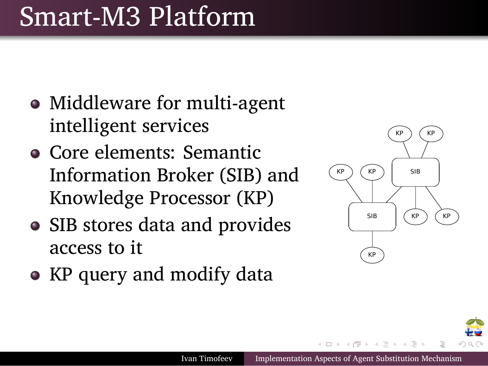### Smart-M3 Platform

.

- Middleware for multi-agent intelligent services
- Core elements: Semantic Information Broker (SIB) and Knowledge Processor (KP)
- SIB stores data and provides access to it
- KP query and modify data



. . . . . .

Ivan Timofeev Implementation Aspects of Age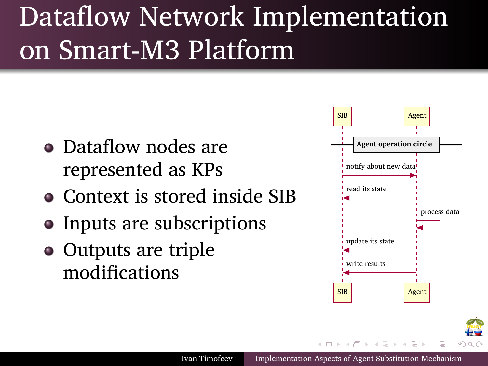### Dataflow Network Implementation on Smart-M3 Platform

Dataflow nodes are represented as KPs

- Context is stored inside SIB
- Inputs are subscriptions
- Outputs are triple modifications

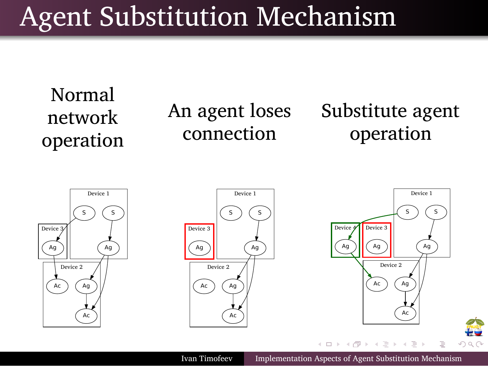# Agent Substitution Mechanism

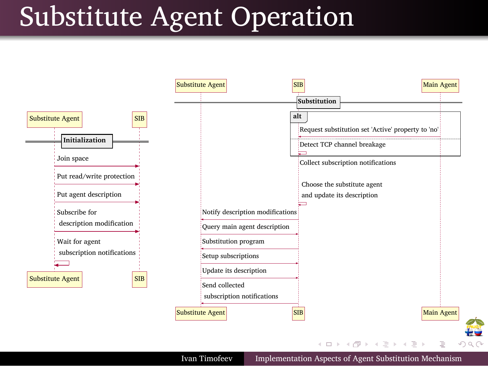## Substitute Agent Operation

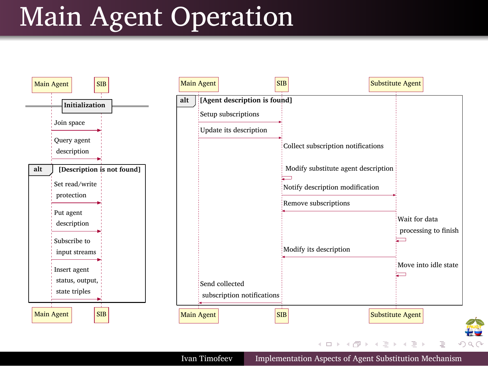## . Main Agent Operation

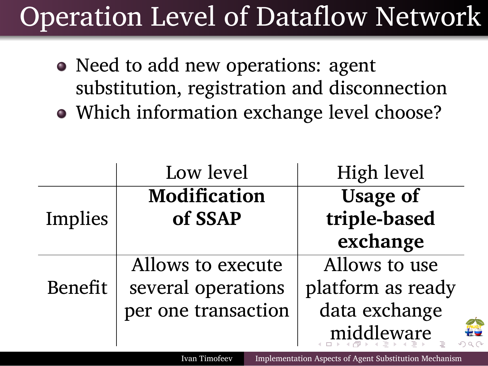## . Operation Level of Dataflow Network

- Need to add new operations: agent substitution, registration and disconnection
- Which information exchange level choose?

|                                                                         | Low level                      | High level                      |
|-------------------------------------------------------------------------|--------------------------------|---------------------------------|
| Implies                                                                 | <b>Modification</b><br>of SSAP | <b>Usage of</b><br>triple-based |
|                                                                         |                                | exchange                        |
| <b>Benefit</b>                                                          | Allows to execute              | Allows to use                   |
|                                                                         | several operations             | platform as ready               |
|                                                                         | per one transaction            | data exchange                   |
|                                                                         |                                | middleware                      |
| Implementation Aspects of Agent Substitution Mechanism<br>Ivan Timofeev |                                |                                 |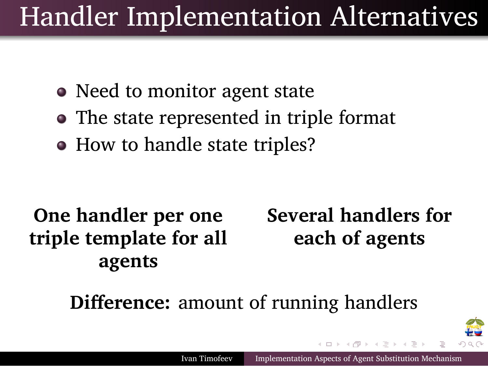## . Handler Implementation Alternatives

- Need to monitor agent state
- The state represented in triple format
- How to handle state triples?

**One handler per one triple template for all agents**

**Several handlers for each of agents**

Ivan Timofeev Implementation Aspects of Agent Substitution Mechani

. . . . . .

₽₩

**Difference:** amount of running handlers